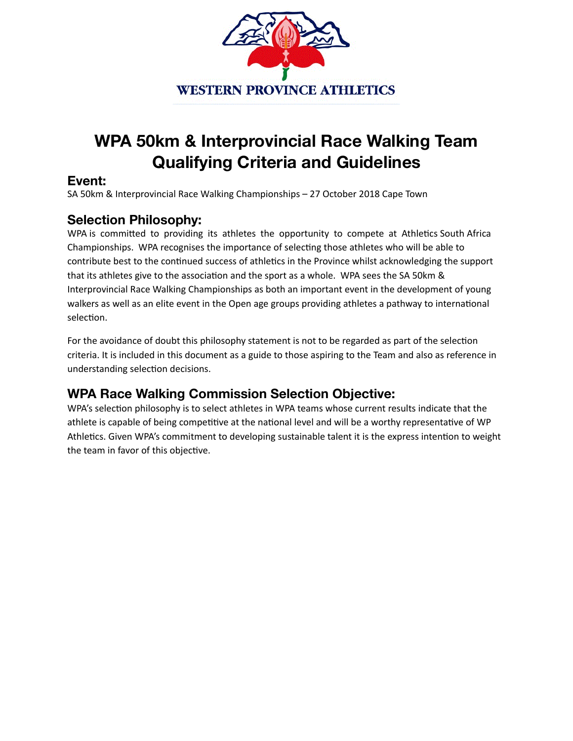

# **WPA 50km & Interprovincial Race Walking Team Qualifying Criteria and Guidelines**

#### **Event:**

SA 50km & Interprovincial Race Walking Championships - 27 October 2018 Cape Town

#### **Selection Philosophy:**

WPA is committed to providing its athletes the opportunity to compete at Athletics South Africa Championships. WPA recognises the importance of selecting those athletes who will be able to contribute best to the continued success of athletics in the Province whilst acknowledging the support that its athletes give to the association and the sport as a whole. WPA sees the SA 50km & Interprovincial Race Walking Championships as both an important event in the development of young walkers as well as an elite event in the Open age groups providing athletes a pathway to international selection.

For the avoidance of doubt this philosophy statement is not to be regarded as part of the selection criteria. It is included in this document as a guide to those aspiring to the Team and also as reference in understanding selection decisions.

#### **WPA Race Walking Commission Selection Objective:**

WPA's selection philosophy is to select athletes in WPA teams whose current results indicate that the athlete is capable of being competitive at the national level and will be a worthy representative of WP Athletics. Given WPA's commitment to developing sustainable talent it is the express intention to weight the team in favor of this objective.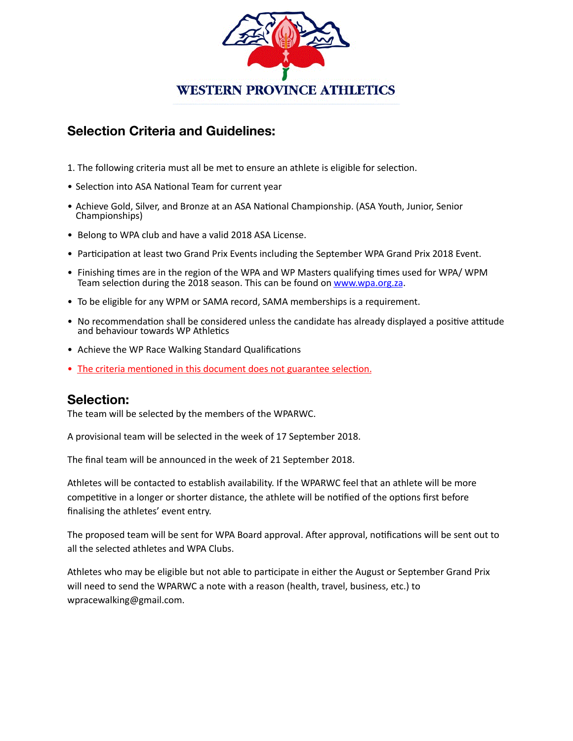

## **Selection Criteria and Guidelines:**

- 1. The following criteria must all be met to ensure an athlete is eligible for selection.
- Selection into ASA National Team for current year
- Achieve Gold, Silver, and Bronze at an ASA National Championship. (ASA Youth, Junior, Senior Championships)
- Belong to WPA club and have a valid 2018 ASA License.
- Participation at least two Grand Prix Events including the September WPA Grand Prix 2018 Event.
- Finishing times are in the region of the WPA and WP Masters qualifying times used for WPA/ WPM Team selection during the 2018 season. This can be found on www.wpa.org.za.
- To be eligible for any WPM or SAMA record, SAMA memberships is a requirement.
- No recommendation shall be considered unless the candidate has already displayed a positive attitude and behaviour towards WP Athletics
- Achieve the WP Race Walking Standard Qualifications
- The criteria mentioned in this document does not guarantee selection.

#### **Selection:**

The team will be selected by the members of the WPARWC.

A provisional team will be selected in the week of 17 September 2018.

The final team will be announced in the week of 21 September 2018.

Athletes will be contacted to establish availability. If the WPARWC feel that an athlete will be more competitive in a longer or shorter distance, the athlete will be notified of the options first before finalising the athletes' event entry.

The proposed team will be sent for WPA Board approval. After approval, notifications will be sent out to all the selected athletes and WPA Clubs.

Athletes who may be eligible but not able to participate in either the August or September Grand Prix will need to send the WPARWC a note with a reason (health, travel, business, etc.) to wpracewalking@gmail.com.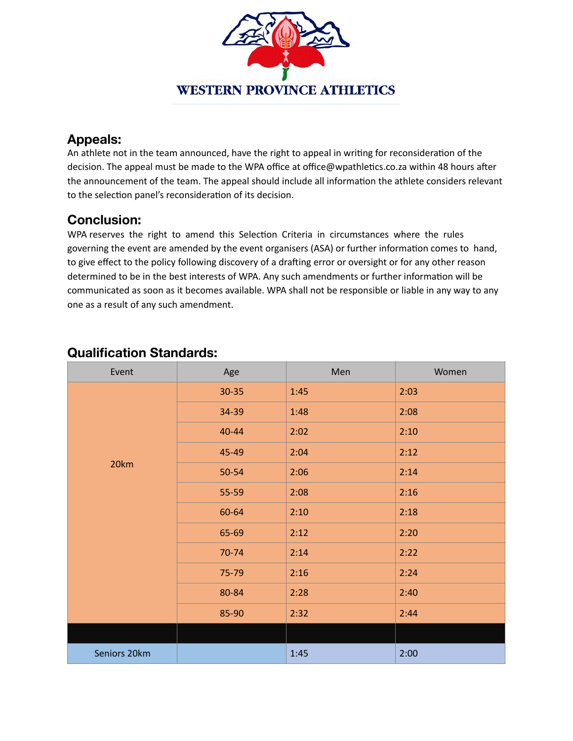

### **Appeals:**

An athlete not in the team announced, have the right to appeal in writing for reconsideration of the decision. The appeal must be made to the WPA office at office@wpathletics.co.za within 48 hours after the announcement of the team. The appeal should include all information the athlete considers relevant to the selection panel's reconsideration of its decision.

## **Conclusion:**

WPA reserves the right to amend this Selection Criteria in circumstances where the rules governing the event are amended by the event organisers (ASA) or further information comes to hand, to give effect to the policy following discovery of a drafting error or oversight or for any other reason determined to be in the best interests of WPA. Any such amendments or further information will be communicated as soon as it becomes available. WPA shall not be responsible or liable in any way to any one as a result of any such amendment.

| Event        | Age   | Men  | Women |
|--------------|-------|------|-------|
| 20km         | 30-35 | 1:45 | 2:03  |
|              | 34-39 | 1:48 | 2:08  |
|              | 40-44 | 2:02 | 2:10  |
|              | 45-49 | 2:04 | 2:12  |
|              | 50-54 | 2:06 | 2:14  |
|              | 55-59 | 2:08 | 2:16  |
|              | 60-64 | 2:10 | 2:18  |
|              | 65-69 | 2:12 | 2:20  |
|              | 70-74 | 2:14 | 2:22  |
|              | 75-79 | 2:16 | 2:24  |
|              | 80-84 | 2:28 | 2:40  |
|              | 85-90 | 2:32 | 2:44  |
|              |       |      |       |
| Seniors 20km |       | 1:45 | 2:00  |

## **Qualification Standards:**